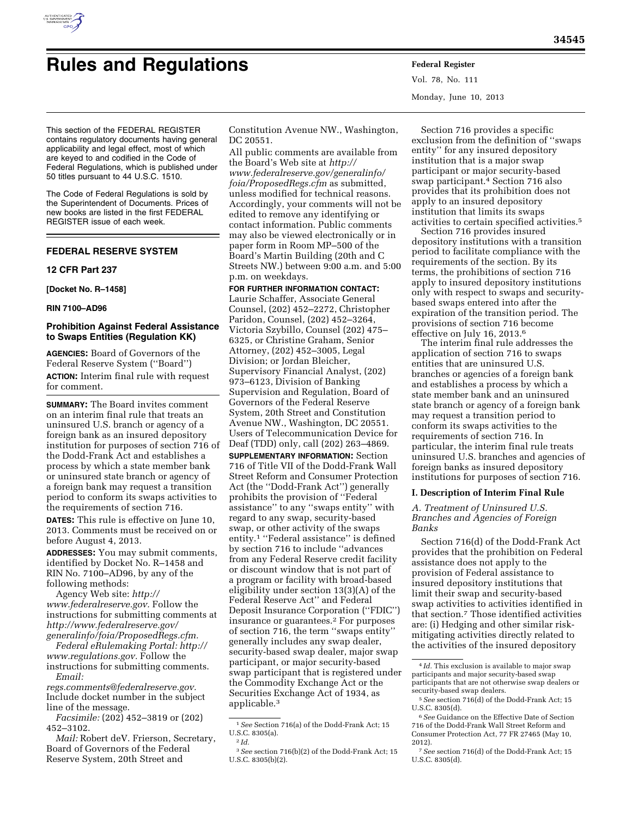

# **Rules and Regulations Federal Register**

Vol. 78, No. 111 Monday, June 10, 2013

This section of the FEDERAL REGISTER contains regulatory documents having general applicability and legal effect, most of which are keyed to and codified in the Code of Federal Regulations, which is published under 50 titles pursuant to 44 U.S.C. 1510.

The Code of Federal Regulations is sold by the Superintendent of Documents. Prices of new books are listed in the first FEDERAL REGISTER issue of each week.

## **FEDERAL RESERVE SYSTEM**

#### **12 CFR Part 237**

**[Docket No. R–1458]** 

**RIN 7100–AD96** 

## **Prohibition Against Federal Assistance to Swaps Entities (Regulation KK)**

**AGENCIES:** Board of Governors of the Federal Reserve System (''Board'') **ACTION:** Interim final rule with request for comment.

**SUMMARY:** The Board invites comment on an interim final rule that treats an uninsured U.S. branch or agency of a foreign bank as an insured depository institution for purposes of section 716 of the Dodd-Frank Act and establishes a process by which a state member bank or uninsured state branch or agency of a foreign bank may request a transition period to conform its swaps activities to the requirements of section 716.

**DATES:** This rule is effective on June 10, 2013. Comments must be received on or before August 4, 2013.

**ADDRESSES:** You may submit comments, identified by Docket No. R–1458 and RIN No. 7100–AD96, by any of the following methods:

Agency Web site: *[http://](http://www.federalreserve.gov) [www.federalreserve.gov.](http://www.federalreserve.gov)* Follow the instructions for submitting comments at *[http://www.federalreserve.gov/](http://www.federalreserve.gov/generalinfo/foia/ProposedRegs.cfm)  generalinfo/foia/ProposedRegs.cfm.* 

*Federal eRulemaking Portal: [http://](http://www.regulations.gov)  [www.regulations.gov.](http://www.regulations.gov)* Follow the instructions for submitting comments.

*Email: [regs.comments@federalreserve.gov.](mailto:regs.comments@federalreserve.gov)*  Include docket number in the subject line of the message.

*Facsimile:* (202) 452–3819 or (202) 452–3102.

*Mail:* Robert deV. Frierson, Secretary, Board of Governors of the Federal Reserve System, 20th Street and

Constitution Avenue NW., Washington, DC 20551.

All public comments are available from the Board's Web site at *[http://](http://www.federalreserve.gov/generalinfo/foia/ProposedRegs.cfm) [www.federalreserve.gov/generalinfo/](http://www.federalreserve.gov/generalinfo/foia/ProposedRegs.cfm) [foia/ProposedRegs.cfm](http://www.federalreserve.gov/generalinfo/foia/ProposedRegs.cfm)* as submitted, unless modified for technical reasons. Accordingly, your comments will not be edited to remove any identifying or contact information. Public comments may also be viewed electronically or in paper form in Room MP–500 of the Board's Martin Building (20th and C Streets NW.) between 9:00 a.m. and 5:00 p.m. on weekdays.

**FOR FURTHER INFORMATION CONTACT:** 

Laurie Schaffer, Associate General Counsel, (202) 452–2272, Christopher Paridon, Counsel, (202) 452–3264, Victoria Szybillo, Counsel (202) 475– 6325, or Christine Graham, Senior Attorney, (202) 452–3005, Legal Division; or Jordan Bleicher, Supervisory Financial Analyst, (202) 973–6123, Division of Banking Supervision and Regulation, Board of Governors of the Federal Reserve System, 20th Street and Constitution Avenue NW., Washington, DC 20551. Users of Telecommunication Device for Deaf (TDD) only, call (202) 263–4869.

**SUPPLEMENTARY INFORMATION:** Section 716 of Title VII of the Dodd-Frank Wall Street Reform and Consumer Protection Act (the ''Dodd-Frank Act'') generally prohibits the provision of ''Federal assistance'' to any ''swaps entity'' with regard to any swap, security-based swap, or other activity of the swaps entity.1 ''Federal assistance'' is defined by section 716 to include ''advances from any Federal Reserve credit facility or discount window that is not part of a program or facility with broad-based eligibility under section 13(3)(A) of the Federal Reserve Act'' and Federal Deposit Insurance Corporation (''FDIC'') insurance or guarantees.2 For purposes of section 716, the term ''swaps entity'' generally includes any swap dealer, security-based swap dealer, major swap participant, or major security-based swap participant that is registered under the Commodity Exchange Act or the Securities Exchange Act of 1934, as applicable.3

Section 716 provides a specific exclusion from the definition of ''swaps entity'' for any insured depository institution that is a major swap participant or major security-based swap participant.4 Section 716 also provides that its prohibition does not apply to an insured depository institution that limits its swaps activities to certain specified activities.5

Section 716 provides insured depository institutions with a transition period to facilitate compliance with the requirements of the section. By its terms, the prohibitions of section 716 apply to insured depository institutions only with respect to swaps and securitybased swaps entered into after the expiration of the transition period. The provisions of section 716 become effective on July 16, 2013.<sup>6</sup>

The interim final rule addresses the application of section 716 to swaps entities that are uninsured U.S. branches or agencies of a foreign bank and establishes a process by which a state member bank and an uninsured state branch or agency of a foreign bank may request a transition period to conform its swaps activities to the requirements of section 716. In particular, the interim final rule treats uninsured U.S. branches and agencies of foreign banks as insured depository institutions for purposes of section 716.

## **I. Description of Interim Final Rule**

*A. Treatment of Uninsured U.S. Branches and Agencies of Foreign Banks* 

Section 716(d) of the Dodd-Frank Act provides that the prohibition on Federal assistance does not apply to the provision of Federal assistance to insured depository institutions that limit their swap and security-based swap activities to activities identified in that section.7 Those identified activities are: (i) Hedging and other similar riskmitigating activities directly related to the activities of the insured depository

<sup>1</sup>*See* Section 716(a) of the Dodd-Frank Act; 15 U.S.C. 8305(a).

<sup>2</sup> *Id.* 

<sup>3</sup>*See* section 716(b)(2) of the Dodd-Frank Act; 15 U.S.C. 8305(b)(2).

<sup>4</sup> *Id.* This exclusion is available to major swap participants and major security-based swap participants that are not otherwise swap dealers or security-based swap dealers.

<sup>5</sup>*See* section 716(d) of the Dodd-Frank Act; 15 U.S.C. 8305(d).

<sup>6</sup>*See* Guidance on the Effective Date of Section 716 of the Dodd-Frank Wall Street Reform and Consumer Protection Act, 77 FR 27465 (May 10, 2012).

<sup>7</sup>*See* section 716(d) of the Dodd-Frank Act; 15 U.S.C. 8305(d).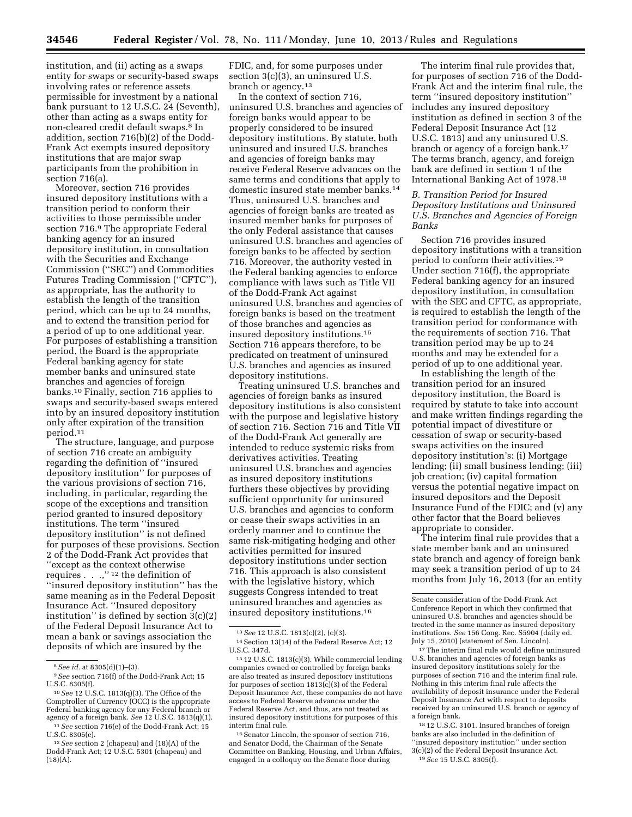institution, and (ii) acting as a swaps entity for swaps or security-based swaps involving rates or reference assets permissible for investment by a national bank pursuant to 12 U.S.C. 24 (Seventh), other than acting as a swaps entity for non-cleared credit default swaps.8 In addition, section 716(b)(2) of the Dodd-Frank Act exempts insured depository institutions that are major swap participants from the prohibition in section 716(a).

Moreover, section 716 provides insured depository institutions with a transition period to conform their activities to those permissible under section 716.9 The appropriate Federal banking agency for an insured depository institution, in consultation with the Securities and Exchange Commission (''SEC'') and Commodities Futures Trading Commission (''CFTC''), as appropriate, has the authority to establish the length of the transition period, which can be up to 24 months, and to extend the transition period for a period of up to one additional year. For purposes of establishing a transition period, the Board is the appropriate Federal banking agency for state member banks and uninsured state branches and agencies of foreign banks.10 Finally, section 716 applies to swaps and security-based swaps entered into by an insured depository institution only after expiration of the transition period.11

The structure, language, and purpose of section 716 create an ambiguity regarding the definition of ''insured depository institution'' for purposes of the various provisions of section 716, including, in particular, regarding the scope of the exceptions and transition period granted to insured depository institutions. The term ''insured depository institution'' is not defined for purposes of these provisions. Section 2 of the Dodd-Frank Act provides that ''except as the context otherwise requires . . .,'' 12 the definition of ''insured depository institution'' has the same meaning as in the Federal Deposit Insurance Act. ''Insured depository institution'' is defined by section 3(c)(2) of the Federal Deposit Insurance Act to mean a bank or savings association the deposits of which are insured by the

FDIC, and, for some purposes under section 3(c)(3), an uninsured U.S. branch or agency.13

In the context of section 716, uninsured U.S. branches and agencies of foreign banks would appear to be properly considered to be insured depository institutions. By statute, both uninsured and insured U.S. branches and agencies of foreign banks may receive Federal Reserve advances on the same terms and conditions that apply to domestic insured state member banks.14 Thus, uninsured U.S. branches and agencies of foreign banks are treated as insured member banks for purposes of the only Federal assistance that causes uninsured U.S. branches and agencies of foreign banks to be affected by section 716. Moreover, the authority vested in the Federal banking agencies to enforce compliance with laws such as Title VII of the Dodd-Frank Act against uninsured U.S. branches and agencies of foreign banks is based on the treatment of those branches and agencies as insured depository institutions.15 Section 716 appears therefore, to be predicated on treatment of uninsured U.S. branches and agencies as insured depository institutions.

Treating uninsured U.S. branches and agencies of foreign banks as insured depository institutions is also consistent with the purpose and legislative history of section 716. Section 716 and Title VII of the Dodd-Frank Act generally are intended to reduce systemic risks from derivatives activities. Treating uninsured U.S. branches and agencies as insured depository institutions furthers these objectives by providing sufficient opportunity for uninsured U.S. branches and agencies to conform or cease their swaps activities in an orderly manner and to continue the same risk-mitigating hedging and other activities permitted for insured depository institutions under section 716. This approach is also consistent with the legislative history, which suggests Congress intended to treat uninsured branches and agencies as insured depository institutions.16

16Senator Lincoln, the sponsor of section 716, and Senator Dodd, the Chairman of the Senate Committee on Banking, Housing, and Urban Affairs, engaged in a colloquy on the Senate floor during

The interim final rule provides that, for purposes of section 716 of the Dodd-Frank Act and the interim final rule, the term ''insured depository institution'' includes any insured depository institution as defined in section 3 of the Federal Deposit Insurance Act (12 U.S.C. 1813) and any uninsured U.S. branch or agency of a foreign bank.17 The terms branch, agency, and foreign bank are defined in section 1 of the International Banking Act of 1978.18

## *B. Transition Period for Insured Depository Institutions and Uninsured U.S. Branches and Agencies of Foreign Banks*

Section 716 provides insured depository institutions with a transition period to conform their activities.19 Under section 716(f), the appropriate Federal banking agency for an insured depository institution, in consultation with the SEC and CFTC, as appropriate, is required to establish the length of the transition period for conformance with the requirements of section 716. That transition period may be up to 24 months and may be extended for a period of up to one additional year.

In establishing the length of the transition period for an insured depository institution, the Board is required by statute to take into account and make written findings regarding the potential impact of divestiture or cessation of swap or security-based swaps activities on the insured depository institution's: (i) Mortgage lending; (ii) small business lending; (iii) job creation; (iv) capital formation versus the potential negative impact on insured depositors and the Deposit Insurance Fund of the FDIC; and (v) any other factor that the Board believes appropriate to consider.

The interim final rule provides that a state member bank and an uninsured state branch and agency of foreign bank may seek a transition period of up to 24 months from July 16, 2013 (for an entity

18 12 U.S.C. 3101. Insured branches of foreign banks are also included in the definition of ''insured depository institution'' under section 3(c)(2) of the Federal Deposit Insurance Act. 19*See* 15 U.S.C. 8305(f).

<sup>&</sup>lt;sup>8</sup> *See id.* at 8305(d)(1)–(3).<br><sup>9</sup> *See* section 716(f) of the Dodd-Frank Act; 15<br>U.S.C. 8305(f).

<sup>&</sup>lt;sup>10</sup> See 12 U.S.C. 1813(q)(3). The Office of the Comptroller of Currency (OCC) is the appropriate Federal banking agency for any Federal branch or agency of a foreign bank. *See* 12 U.S.C. 1813(q)(1). 11*See* section 716(e) of the Dodd-Frank Act; 15

U.S.C. 8305(e). 12*See* section 2 (chapeau) and (18)(A) of the

Dodd-Frank Act; 12 U.S.C. 5301 (chapeau) and  $(18)(A).$ 

<sup>13</sup>*See* 12 U.S.C. 1813(c)(2), (c)(3).

<sup>14</sup>Section 13(14) of the Federal Reserve Act; 12 U.S.C. 347d.

<sup>15</sup> 12 U.S.C. 1813(c)(3). While commercial lending companies owned or controlled by foreign banks are also treated as insured depository institutions for purposes of section 1813(c)(3) of the Federal Deposit Insurance Act, these companies do not have access to Federal Reserve advances under the Federal Reserve Act, and thus, are not treated as insured depository institutions for purposes of this interim final rule.

Senate consideration of the Dodd-Frank Act Conference Report in which they confirmed that uninsured U.S. branches and agencies should be treated in the same manner as insured depository institutions. *See* 156 Cong. Rec. S5904 (daily ed. July 15, 2010) (statement of Sen. Lincoln).

<sup>&</sup>lt;sup>17</sup>The interim final rule would define uninsured U.S. branches and agencies of foreign banks as insured depository institutions solely for the purposes of section 716 and the interim final rule. Nothing in this interim final rule affects the availability of deposit insurance under the Federal Deposit Insurance Act with respect to deposits received by an uninsured U.S. branch or agency of a foreign bank.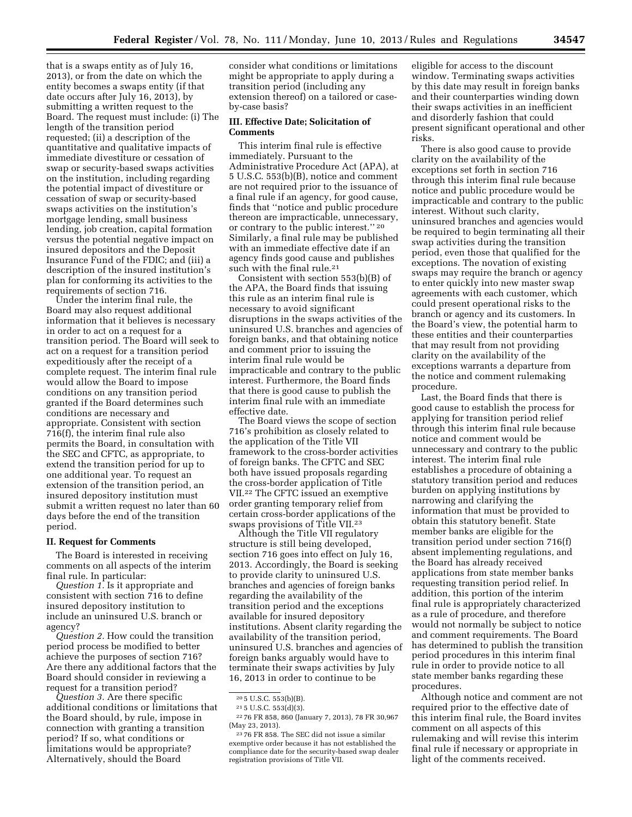that is a swaps entity as of July 16, 2013), or from the date on which the entity becomes a swaps entity (if that date occurs after July 16, 2013), by submitting a written request to the Board. The request must include: (i) The length of the transition period requested; (ii) a description of the quantitative and qualitative impacts of immediate divestiture or cessation of swap or security-based swaps activities on the institution, including regarding the potential impact of divestiture or cessation of swap or security-based swaps activities on the institution's mortgage lending, small business lending, job creation, capital formation versus the potential negative impact on insured depositors and the Deposit Insurance Fund of the FDIC; and (iii) a description of the insured institution's plan for conforming its activities to the requirements of section 716.

Under the interim final rule, the Board may also request additional information that it believes is necessary in order to act on a request for a transition period. The Board will seek to act on a request for a transition period expeditiously after the receipt of a complete request. The interim final rule would allow the Board to impose conditions on any transition period granted if the Board determines such conditions are necessary and appropriate. Consistent with section 716(f), the interim final rule also permits the Board, in consultation with the SEC and CFTC, as appropriate, to extend the transition period for up to one additional year. To request an extension of the transition period, an insured depository institution must submit a written request no later than 60 days before the end of the transition period.

## **II. Request for Comments**

The Board is interested in receiving comments on all aspects of the interim final rule. In particular:

*Question 1.* Is it appropriate and consistent with section 716 to define insured depository institution to include an uninsured U.S. branch or agency?

*Question 2.* How could the transition period process be modified to better achieve the purposes of section 716? Are there any additional factors that the Board should consider in reviewing a request for a transition period?

*Question 3.* Are there specific additional conditions or limitations that the Board should, by rule, impose in connection with granting a transition period? If so, what conditions or limitations would be appropriate? Alternatively, should the Board

consider what conditions or limitations might be appropriate to apply during a transition period (including any extension thereof) on a tailored or caseby-case basis?

#### **III. Effective Date; Solicitation of Comments**

This interim final rule is effective immediately. Pursuant to the Administrative Procedure Act (APA), at 5 U.S.C. 553(b)(B), notice and comment are not required prior to the issuance of a final rule if an agency, for good cause, finds that ''notice and public procedure thereon are impracticable, unnecessary, or contrary to the public interest.'' 20 Similarly, a final rule may be published with an immediate effective date if an agency finds good cause and publishes such with the final rule.<sup>21</sup>

Consistent with section 553(b)(B) of the APA, the Board finds that issuing this rule as an interim final rule is necessary to avoid significant disruptions in the swaps activities of the uninsured U.S. branches and agencies of foreign banks, and that obtaining notice and comment prior to issuing the interim final rule would be impracticable and contrary to the public interest. Furthermore, the Board finds that there is good cause to publish the interim final rule with an immediate effective date.

The Board views the scope of section 716's prohibition as closely related to the application of the Title VII framework to the cross-border activities of foreign banks. The CFTC and SEC both have issued proposals regarding the cross-border application of Title VII.22 The CFTC issued an exemptive order granting temporary relief from certain cross-border applications of the swaps provisions of Title VII.23

Although the Title VII regulatory structure is still being developed, section 716 goes into effect on July 16, 2013. Accordingly, the Board is seeking to provide clarity to uninsured U.S. branches and agencies of foreign banks regarding the availability of the transition period and the exceptions available for insured depository institutions. Absent clarity regarding the availability of the transition period, uninsured U.S. branches and agencies of foreign banks arguably would have to terminate their swaps activities by July 16, 2013 in order to continue to be

eligible for access to the discount window. Terminating swaps activities by this date may result in foreign banks and their counterparties winding down their swaps activities in an inefficient and disorderly fashion that could present significant operational and other risks.

There is also good cause to provide clarity on the availability of the exceptions set forth in section 716 through this interim final rule because notice and public procedure would be impracticable and contrary to the public interest. Without such clarity, uninsured branches and agencies would be required to begin terminating all their swap activities during the transition period, even those that qualified for the exceptions. The novation of existing swaps may require the branch or agency to enter quickly into new master swap agreements with each customer, which could present operational risks to the branch or agency and its customers. In the Board's view, the potential harm to these entities and their counterparties that may result from not providing clarity on the availability of the exceptions warrants a departure from the notice and comment rulemaking procedure.

Last, the Board finds that there is good cause to establish the process for applying for transition period relief through this interim final rule because notice and comment would be unnecessary and contrary to the public interest. The interim final rule establishes a procedure of obtaining a statutory transition period and reduces burden on applying institutions by narrowing and clarifying the information that must be provided to obtain this statutory benefit. State member banks are eligible for the transition period under section 716(f) absent implementing regulations, and the Board has already received applications from state member banks requesting transition period relief. In addition, this portion of the interim final rule is appropriately characterized as a rule of procedure, and therefore would not normally be subject to notice and comment requirements. The Board has determined to publish the transition period procedures in this interim final rule in order to provide notice to all state member banks regarding these procedures.

Although notice and comment are not required prior to the effective date of this interim final rule, the Board invites comment on all aspects of this rulemaking and will revise this interim final rule if necessary or appropriate in light of the comments received.

<sup>20</sup> 5 U.S.C. 553(b)(B).

<sup>21</sup> 5 U.S.C. 553(d)(3).

<sup>22</sup> 76 FR 858, 860 (January 7, 2013), 78 FR 30,967 (May 23, 2013).

<sup>23</sup> 76 FR 858. The SEC did not issue a similar exemptive order because it has not established the compliance date for the security-based swap dealer registration provisions of Title VII.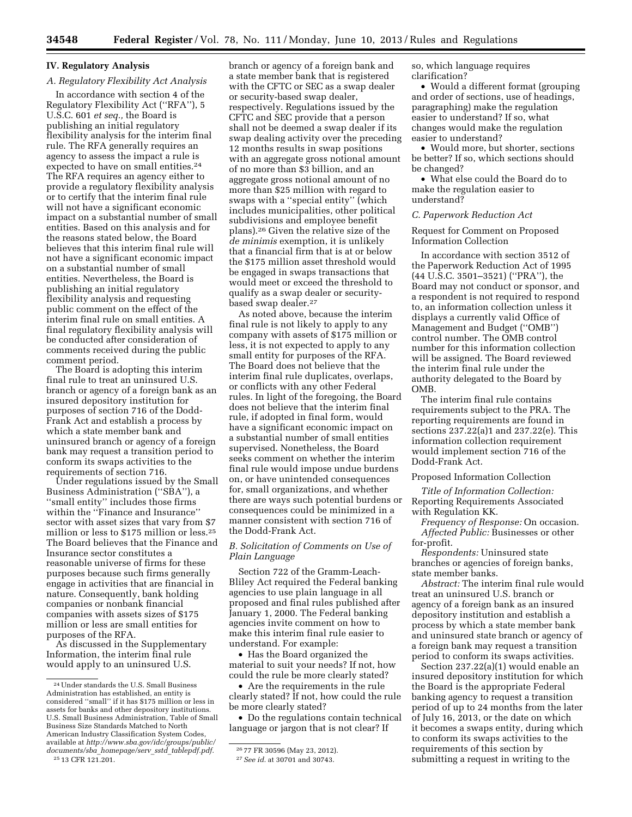## **IV. Regulatory Analysis**

## *A. Regulatory Flexibility Act Analysis*

In accordance with section 4 of the Regulatory Flexibility Act (''RFA''), 5 U.S.C. 601 *et seq.,* the Board is publishing an initial regulatory flexibility analysis for the interim final rule. The RFA generally requires an agency to assess the impact a rule is expected to have on small entities.24 The RFA requires an agency either to provide a regulatory flexibility analysis or to certify that the interim final rule will not have a significant economic impact on a substantial number of small entities. Based on this analysis and for the reasons stated below, the Board believes that this interim final rule will not have a significant economic impact on a substantial number of small entities. Nevertheless, the Board is publishing an initial regulatory flexibility analysis and requesting public comment on the effect of the interim final rule on small entities. A final regulatory flexibility analysis will be conducted after consideration of comments received during the public comment period.

The Board is adopting this interim final rule to treat an uninsured U.S. branch or agency of a foreign bank as an insured depository institution for purposes of section 716 of the Dodd-Frank Act and establish a process by which a state member bank and uninsured branch or agency of a foreign bank may request a transition period to conform its swaps activities to the requirements of section 716.

Under regulations issued by the Small Business Administration (''SBA''), a ''small entity'' includes those firms within the ''Finance and Insurance'' sector with asset sizes that vary from \$7 million or less to \$175 million or less.25 The Board believes that the Finance and Insurance sector constitutes a reasonable universe of firms for these purposes because such firms generally engage in activities that are financial in nature. Consequently, bank holding companies or nonbank financial companies with assets sizes of \$175 million or less are small entities for purposes of the RFA.

As discussed in the Supplementary Information, the interim final rule would apply to an uninsured U.S.

branch or agency of a foreign bank and a state member bank that is registered with the CFTC or SEC as a swap dealer or security-based swap dealer, respectively. Regulations issued by the CFTC and SEC provide that a person shall not be deemed a swap dealer if its swap dealing activity over the preceding 12 months results in swap positions with an aggregate gross notional amount of no more than \$3 billion, and an aggregate gross notional amount of no more than \$25 million with regard to swaps with a ''special entity'' (which includes municipalities, other political subdivisions and employee benefit plans).26 Given the relative size of the *de minimis* exemption, it is unlikely that a financial firm that is at or below the \$175 million asset threshold would be engaged in swaps transactions that would meet or exceed the threshold to qualify as a swap dealer or securitybased swap dealer.27

As noted above, because the interim final rule is not likely to apply to any company with assets of \$175 million or less, it is not expected to apply to any small entity for purposes of the RFA. The Board does not believe that the interim final rule duplicates, overlaps, or conflicts with any other Federal rules. In light of the foregoing, the Board does not believe that the interim final rule, if adopted in final form, would have a significant economic impact on a substantial number of small entities supervised. Nonetheless, the Board seeks comment on whether the interim final rule would impose undue burdens on, or have unintended consequences for, small organizations, and whether there are ways such potential burdens or consequences could be minimized in a manner consistent with section 716 of the Dodd-Frank Act.

#### *B. Solicitation of Comments on Use of Plain Language*

Section 722 of the Gramm-Leach-Bliley Act required the Federal banking agencies to use plain language in all proposed and final rules published after January 1, 2000. The Federal banking agencies invite comment on how to make this interim final rule easier to understand. For example:

• Has the Board organized the material to suit your needs? If not, how could the rule be more clearly stated?

• Are the requirements in the rule clearly stated? If not, how could the rule be more clearly stated?

• Do the regulations contain technical language or jargon that is not clear? If

so, which language requires clarification?

• Would a different format (grouping and order of sections, use of headings, paragraphing) make the regulation easier to understand? If so, what changes would make the regulation easier to understand?

• Would more, but shorter, sections be better? If so, which sections should be changed?

• What else could the Board do to make the regulation easier to understand?

*C. Paperwork Reduction Act* 

Request for Comment on Proposed Information Collection

In accordance with section 3512 of the Paperwork Reduction Act of 1995 (44 U.S.C. 3501–3521) (''PRA''), the Board may not conduct or sponsor, and a respondent is not required to respond to, an information collection unless it displays a currently valid Office of Management and Budget (''OMB'') control number. The OMB control number for this information collection will be assigned. The Board reviewed the interim final rule under the authority delegated to the Board by **OMB** 

The interim final rule contains requirements subject to the PRA. The reporting requirements are found in sections 237.22(a)1 and 237.22(e). This information collection requirement would implement section 716 of the Dodd-Frank Act.

## Proposed Information Collection

*Title of Information Collection:*  Reporting Requirements Associated with Regulation KK.

*Frequency of Response:* On occasion. *Affected Public:* Businesses or other for-profit.

*Respondents:* Uninsured state branches or agencies of foreign banks, state member banks.

*Abstract:* The interim final rule would treat an uninsured U.S. branch or agency of a foreign bank as an insured depository institution and establish a process by which a state member bank and uninsured state branch or agency of a foreign bank may request a transition period to conform its swaps activities.

Section 237.22(a)(1) would enable an insured depository institution for which the Board is the appropriate Federal banking agency to request a transition period of up to 24 months from the later of July 16, 2013, or the date on which it becomes a swaps entity, during which to conform its swaps activities to the requirements of this section by submitting a request in writing to the

<sup>24</sup>Under standards the U.S. Small Business Administration has established, an entity is considered ''small'' if it has \$175 million or less in assets for banks and other depository institutions. U.S. Small Business Administration, Table of Small Business Size Standards Matched to North American Industry Classification System Codes, available at *[http://www.sba.gov/idc/groups/public/](http://www.sba.gov/idc/groups/public/documents/sba_homepage/serv_sstd_tablepdf.pdf)  [documents/sba](http://www.sba.gov/idc/groups/public/documents/sba_homepage/serv_sstd_tablepdf.pdf)*\_*homepage/serv*\_*sstd*\_*tablepdf.pdf.*  25 13 CFR 121.201.

<sup>26</sup> 77 FR 30596 (May 23, 2012).

<sup>27</sup>*See id.* at 30701 and 30743.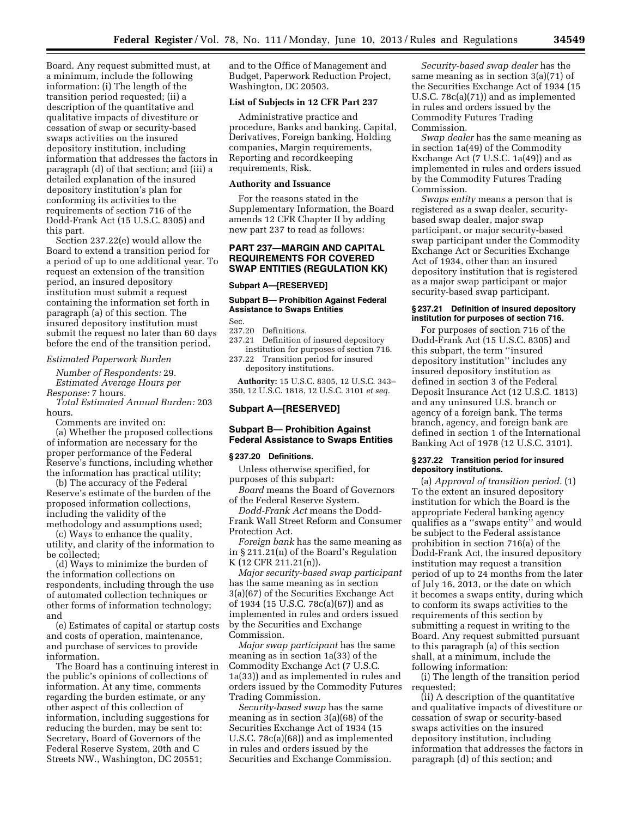Board. Any request submitted must, at a minimum, include the following information: (i) The length of the transition period requested; (ii) a description of the quantitative and qualitative impacts of divestiture or cessation of swap or security-based swaps activities on the insured depository institution, including information that addresses the factors in paragraph (d) of that section; and (iii) a detailed explanation of the insured depository institution's plan for conforming its activities to the requirements of section 716 of the Dodd-Frank Act (15 U.S.C. 8305) and this part.

Section 237.22(e) would allow the Board to extend a transition period for a period of up to one additional year. To request an extension of the transition period, an insured depository institution must submit a request containing the information set forth in paragraph (a) of this section. The insured depository institution must submit the request no later than 60 days before the end of the transition period.

#### *Estimated Paperwork Burden*

*Number of Respondents:* 29. *Estimated Average Hours per Response:* 7 hours.

*Total Estimated Annual Burden:* 203 hours.

Comments are invited on:

(a) Whether the proposed collections of information are necessary for the proper performance of the Federal Reserve's functions, including whether the information has practical utility;

(b) The accuracy of the Federal Reserve's estimate of the burden of the proposed information collections, including the validity of the methodology and assumptions used;

(c) Ways to enhance the quality, utility, and clarity of the information to be collected;

(d) Ways to minimize the burden of the information collections on respondents, including through the use of automated collection techniques or other forms of information technology; and

(e) Estimates of capital or startup costs and costs of operation, maintenance, and purchase of services to provide information.

The Board has a continuing interest in the public's opinions of collections of information. At any time, comments regarding the burden estimate, or any other aspect of this collection of information, including suggestions for reducing the burden, may be sent to: Secretary, Board of Governors of the Federal Reserve System, 20th and C Streets NW., Washington, DC 20551;

and to the Office of Management and Budget, Paperwork Reduction Project, Washington, DC 20503.

#### **List of Subjects in 12 CFR Part 237**

Administrative practice and procedure, Banks and banking, Capital, Derivatives, Foreign banking, Holding companies, Margin requirements, Reporting and recordkeeping requirements, Risk.

#### **Authority and Issuance**

For the reasons stated in the Supplementary Information, the Board amends 12 CFR Chapter II by adding new part 237 to read as follows:

## **PART 237—MARGIN AND CAPITAL REQUIREMENTS FOR COVERED SWAP ENTITIES (REGULATION KK)**

#### **Subpart A—[RESERVED]**

## **Subpart B— Prohibition Against Federal Assistance to Swaps Entities**

Sec.

- 237.20 Definitions.
- 237.21 Definition of insured depository institution for purposes of section 716.
- 237.22 Transition period for insured depository institutions.

**Authority:** 15 U.S.C. 8305, 12 U.S.C. 343– 350, 12 U.S.C. 1818, 12 U.S.C. 3101 *et seq.* 

## **Subpart A—[RESERVED]**

#### **Subpart B— Prohibition Against Federal Assistance to Swaps Entities**

#### **§ 237.20 Definitions.**

Unless otherwise specified, for purposes of this subpart:

*Board* means the Board of Governors of the Federal Reserve System.

*Dodd-Frank Act* means the Dodd-Frank Wall Street Reform and Consumer Protection Act.

*Foreign bank* has the same meaning as in § 211.21(n) of the Board's Regulation K (12 CFR 211.21(n)).

*Major security-based swap participant*  has the same meaning as in section 3(a)(67) of the Securities Exchange Act of 1934 (15 U.S.C. 78c(a)(67)) and as implemented in rules and orders issued by the Securities and Exchange Commission.

*Major swap participant* has the same meaning as in section 1a(33) of the Commodity Exchange Act (7 U.S.C. 1a(33)) and as implemented in rules and orders issued by the Commodity Futures Trading Commission.

*Security-based swap* has the same meaning as in section 3(a)(68) of the Securities Exchange Act of 1934 (15 U.S.C. 78c(a)(68)) and as implemented in rules and orders issued by the Securities and Exchange Commission.

*Security-based swap dealer* has the same meaning as in section 3(a)(71) of the Securities Exchange Act of 1934 (15 U.S.C. 78c(a)(71)) and as implemented in rules and orders issued by the Commodity Futures Trading Commission.

*Swap dealer* has the same meaning as in section 1a(49) of the Commodity Exchange Act (7 U.S.C. 1a(49)) and as implemented in rules and orders issued by the Commodity Futures Trading Commission.

*Swaps entity* means a person that is registered as a swap dealer, securitybased swap dealer, major swap participant, or major security-based swap participant under the Commodity Exchange Act or Securities Exchange Act of 1934, other than an insured depository institution that is registered as a major swap participant or major security-based swap participant.

## **§ 237.21 Definition of insured depository institution for purposes of section 716.**

For purposes of section 716 of the Dodd-Frank Act (15 U.S.C. 8305) and this subpart, the term ''insured depository institution'' includes any insured depository institution as defined in section 3 of the Federal Deposit Insurance Act (12 U.S.C. 1813) and any uninsured U.S. branch or agency of a foreign bank. The terms branch, agency, and foreign bank are defined in section 1 of the International Banking Act of 1978 (12 U.S.C. 3101).

#### **§ 237.22 Transition period for insured depository institutions.**

(a) *Approval of transition period.* (1) To the extent an insured depository institution for which the Board is the appropriate Federal banking agency qualifies as a ''swaps entity'' and would be subject to the Federal assistance prohibition in section 716(a) of the Dodd-Frank Act, the insured depository institution may request a transition period of up to 24 months from the later of July 16, 2013, or the date on which it becomes a swaps entity, during which to conform its swaps activities to the requirements of this section by submitting a request in writing to the Board. Any request submitted pursuant to this paragraph (a) of this section shall, at a minimum, include the following information:

(i) The length of the transition period requested;

(ii) A description of the quantitative and qualitative impacts of divestiture or cessation of swap or security-based swaps activities on the insured depository institution, including information that addresses the factors in paragraph (d) of this section; and